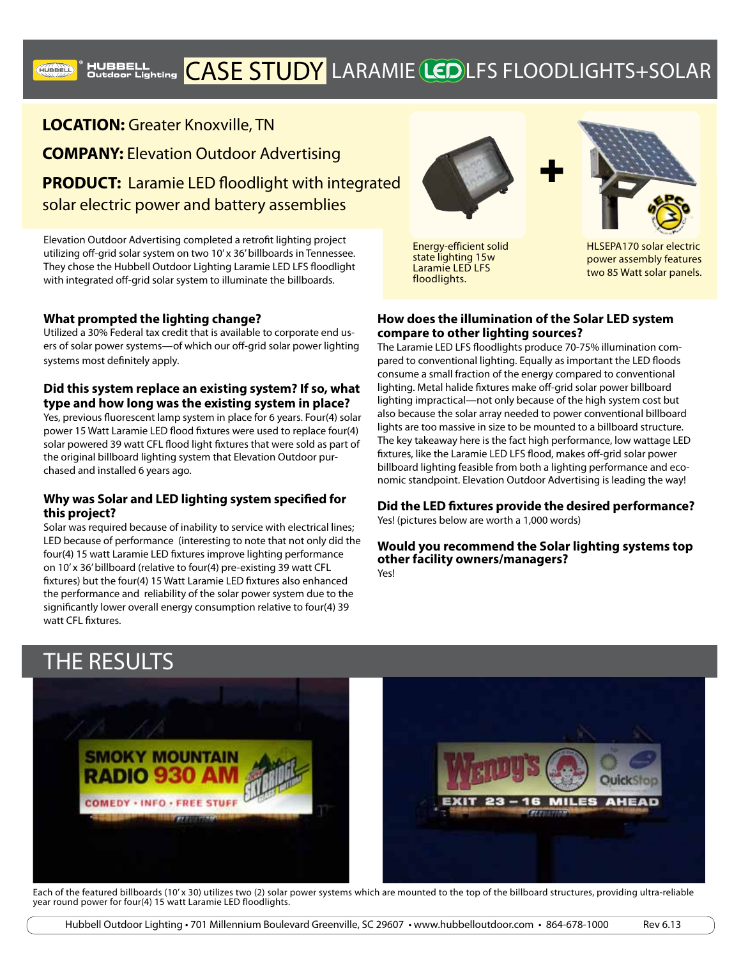

**LOCATION:** Greater Knoxville, TN **COMPANY:** Elevation Outdoor Advertising **PRODUCT:** Laramie LED floodlight with integrated solar electric power and battery assemblies

Elevation Outdoor Advertising completed a retrofit lighting project utilizing off-grid solar system on two 10' x 36' billboards in Tennessee. They chose the Hubbell Outdoor Lighting Laramie LED LFS floodlight with integrated off-grid solar system to illuminate the billboards.

## **What prompted the lighting change?**

**HUBBELL** 

Utilized a 30% Federal tax credit that is available to corporate end users of solar power systems—of which our off-grid solar power lighting systems most definitely apply.

## **Did this system replace an existing system? If so, what type and how long was the existing system in place?**

Yes, previous fluorescent lamp system in place for 6 years. Four(4) solar power 15 Watt Laramie LED flood fixtures were used to replace four(4) solar powered 39 watt CFL flood light fixtures that were sold as part of the original billboard lighting system that Elevation Outdoor purchased and installed 6 years ago.

## **Why was Solar and LED lighting system specified for this project?**

Solar was required because of inability to service with electrical lines; LED because of performance (interesting to note that not only did the four(4) 15 watt Laramie LED fixtures improve lighting performance on 10' x 36' billboard (relative to four(4) pre-existing 39 watt CFL fixtures) but the four(4) 15 Watt Laramie LED fixtures also enhanced the performance and reliability of the solar power system due to the significantly lower overall energy consumption relative to four(4) 39 watt CFL fixtures.



Energy-efficient solid state lighting 15w Laramie LED LFS floodlights.



power assembly features two 85 Watt solar panels.

## **How does the illumination of the Solar LED system compare to other lighting sources?**

The Laramie LED LFS floodlights produce 70-75% illumination compared to conventional lighting. Equally as important the LED floods consume a small fraction of the energy compared to conventional lighting. Metal halide fixtures make off-grid solar power billboard lighting impractical—not only because of the high system cost but also because the solar array needed to power conventional billboard lights are too massive in size to be mounted to a billboard structure. The key takeaway here is the fact high performance, low wattage LED fixtures, like the Laramie LED LFS flood, makes off-grid solar power billboard lighting feasible from both a lighting performance and economic standpoint. Elevation Outdoor Advertising is leading the way!

**Did the LED fixtures provide the desired performance?** Yes! (pictures below are worth a 1,000 words)

**Would you recommend the Solar lighting systems top other facility owners/managers?**  Yes!

## THE RESULTS



Each of the featured billboards (10'x 30) utilizes two (2) solar power systems which are mounted to the top of the billboard structures, providing ultra-reliable year round power for four(4) 15 watt Laramie LED floodlights.

Hubbell Outdoor Lighting • 701 Millennium Boulevard Greenville, SC 29607 • www.hubbelloutdoor.com • 864-678-1000 Rev 6.13